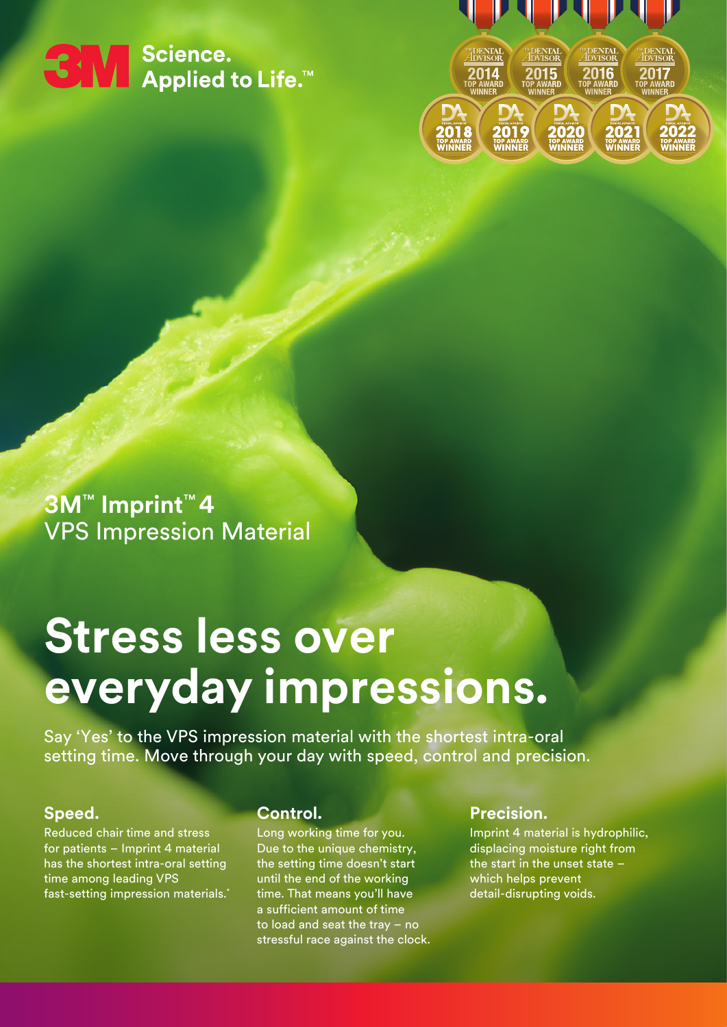# ← Selence.<br>
Sales Applied to Life.™



**3M**™ **Imprint**™ **4**  VPS Impression Material

## **Stress less over everyday impressions.**

Say 'Yes' to the VPS impression material with the shortest intra-oral setting time. Move through your day with speed, control and precision.

#### **Speed.**

Reduced chair time and stress for patients – Imprint 4 material has the shortest intra-oral setting time among leading VPS fast-setting impression materials.\*

#### **Control.**

Long working time for you. Due to the unique chemistry, the setting time doesn't start until the end of the working time. That means you'll have a sufficient amount of time to load and seat the tray – no stressful race against the clock.

#### **Precision.**

Imprint 4 material is hydrophilic, displacing moisture right from the start in the unset state – which helps prevent detail-disrupting voids.